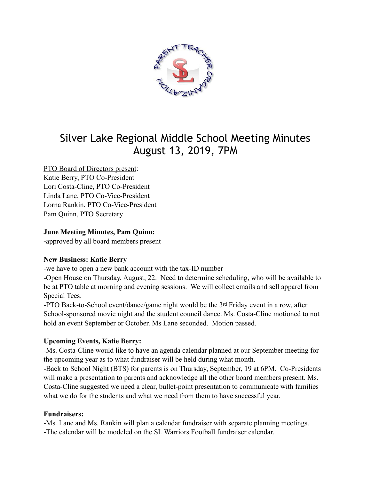

# Silver Lake Regional Middle School Meeting Minutes August 13, 2019, 7PM

# PTO Board of Directors present:

Katie Berry, PTO Co-President Lori Costa-Cline, PTO Co-President Linda Lane, PTO Co-Vice-President Lorna Rankin, PTO Co-Vice-President Pam Quinn, PTO Secretary

## **June Meeting Minutes, Pam Quinn:**

**-**approved by all board members present

#### **New Business: Katie Berry**

-we have to open a new bank account with the tax-ID number

-Open House on Thursday, August, 22. Need to determine scheduling, who will be available to be at PTO table at morning and evening sessions. We will collect emails and sell apparel from Special Tees.

-PTO Back-to-School event/dance/game night would be the 3rd Friday event in a row, after School-sponsored movie night and the student council dance. Ms. Costa-Cline motioned to not hold an event September or October. Ms Lane seconded. Motion passed.

## **Upcoming Events, Katie Berry:**

-Ms. Costa-Cline would like to have an agenda calendar planned at our September meeting for the upcoming year as to what fundraiser will be held during what month.

-Back to School Night (BTS) for parents is on Thursday, September, 19 at 6PM. Co-Presidents will make a presentation to parents and acknowledge all the other board members present. Ms. Costa-Cline suggested we need a clear, bullet-point presentation to communicate with families what we do for the students and what we need from them to have successful year.

## **Fundraisers:**

-Ms. Lane and Ms. Rankin will plan a calendar fundraiser with separate planning meetings. -The calendar will be modeled on the SL Warriors Football fundraiser calendar.